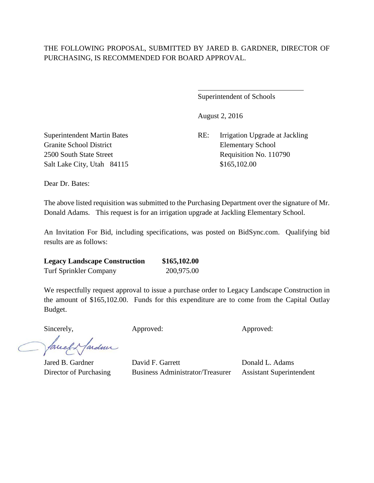## THE FOLLOWING PROPOSAL, SUBMITTED BY JARED B. GARDNER, DIRECTOR OF PURCHASING, IS RECOMMENDED FOR BOARD APPROVAL.

 $\overline{a}$ 

Superintendent of Schools

August 2, 2016

Superintendent Martin Bates RE: Irrigation Upgrade at Jackling 2500 South State Street Requisition No. 110790

Granite School District Elementary School Salt Lake City, Utah 84115 \$165,102.00

Dear Dr. Bates:

The above listed requisition was submitted to the Purchasing Department over the signature of Mr. Donald Adams. This request is for an irrigation upgrade at Jackling Elementary School.

An Invitation For Bid, including specifications, was posted on BidSync.com. Qualifying bid results are as follows:

| <b>Legacy Landscape Construction</b> | \$165,102.00 |
|--------------------------------------|--------------|
| <b>Turf Sprinkler Company</b>        | 200,975.00   |

We respectfully request approval to issue a purchase order to Legacy Landscape Construction in the amount of \$165,102.00. Funds for this expenditure are to come from the Capital Outlay Budget.

Sincerely, Approved: Approved: Approved: Approved:

facely fardun

Jared B. Gardner David F. Garrett Donald L. Adams Director of Purchasing Business Administrator/Treasurer Assistant Superintendent